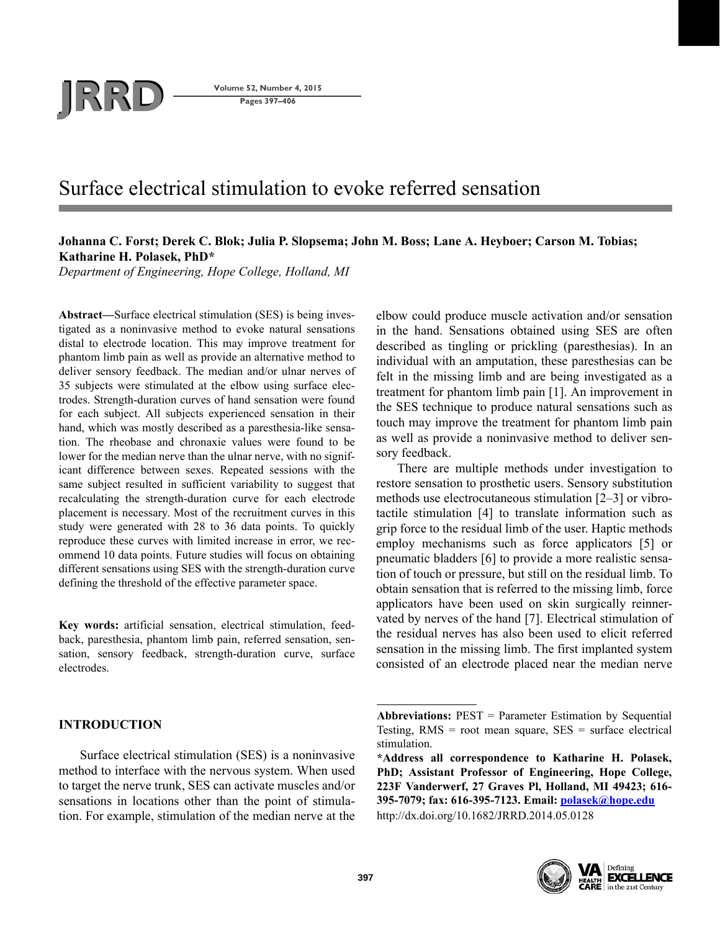# **JRRD Volume 52, Number 4, 2015**<br>Pages 397–406

**Pages 397–406**

# Surface electrical stimulation to evoke referred sensation

# **Johanna C. Forst; Derek C. Blok; Julia P. Slopsema; John M. Boss; Lane A. Heyboer; Carson M. Tobias; Katharine H. Polasek, PhD\***

*Department of Engineering, Hope College, Holland, MI*

**Abstract—**Surface electrical stimulation (SES) is being investigated as a noninvasive method to evoke natural sensations distal to electrode location. This may improve treatment for phantom limb pain as well as provide an alternative method to deliver sensory feedback. The median and/or ulnar nerves of 35 subjects were stimulated at the elbow using surface electrodes. Strength-duration curves of hand sensation were found for each subject. All subjects experienced sensation in their hand, which was mostly described as a paresthesia-like sensation. The rheobase and chronaxie values were found to be lower for the median nerve than the ulnar nerve, with no significant difference between sexes. Repeated sessions with the same subject resulted in sufficient variability to suggest that recalculating the strength-duration curve for each electrode placement is necessary. Most of the recruitment curves in this study were generated with 28 to 36 data points. To quickly reproduce these curves with limited increase in error, we recommend 10 data points. Future studies will focus on obtaining different sensations using SES with the strength-duration curve defining the threshold of the effective parameter space.

**Key words:** artificial sensation, electrical stimulation, feedback, paresthesia, phantom limb pain, referred sensation, sensation, sensory feedback, strength-duration curve, surface electrodes.

# **INTRODUCTION**

Surface electrical stimulation (SES) is a noninvasive method to interface with the nervous system. When used to target the nerve trunk, SES can activate muscles and/or sensations in locations other than the point of stimulation. For example, stimulation of the median nerve at the

elbow could produce muscle activation and/or sensation in the hand. Sensations obtained using SES are often described as tingling or prickling (paresthesias). In an individual with an amputation, these paresthesias can be felt in the missing limb and are being investigated as a treatment for phantom limb pain [1]. An improvement in the SES technique to produce natural sensations such as touch may improve the treatment for phantom limb pain as well as provide a noninvasive method to deliver sensory feedback.

There are multiple methods under investigation to restore sensation to prosthetic users. Sensory substitution methods use electrocutaneous stimulation [2–3] or vibrotactile stimulation [4] to translate information such as grip force to the residual limb of the user. Haptic methods employ mechanisms such as force applicators [5] or pneumatic bladders [6] to provide a more realistic sensation of touch or pressure, but still on the residual limb. To obtain sensation that is referred to the missing limb, force applicators have been used on skin surgically reinnervated by nerves of the hand [7]. Electrical stimulation of the residual nerves has also been used to elicit referred sensation in the missing limb. The first implanted system consisted of an electrode placed near the median nerve

**<sup>\*</sup>Address all correspondence to Katharine H. Polasek, PhD; Assistant Professor of Engineering, Hope College, 223F Vanderwerf, 27 Graves Pl, Holland, MI 49423; 616- 395-7079; fax: 616-395-7123. Email: polasek@hope.edu** <http://dx.doi.org/10.1682/JRRD.2014.05.0128>



**Abbreviations:** PEST = Parameter Estimation by Sequential Testing,  $RMS = root$  mean square,  $SES = surface$  electrical stimulation.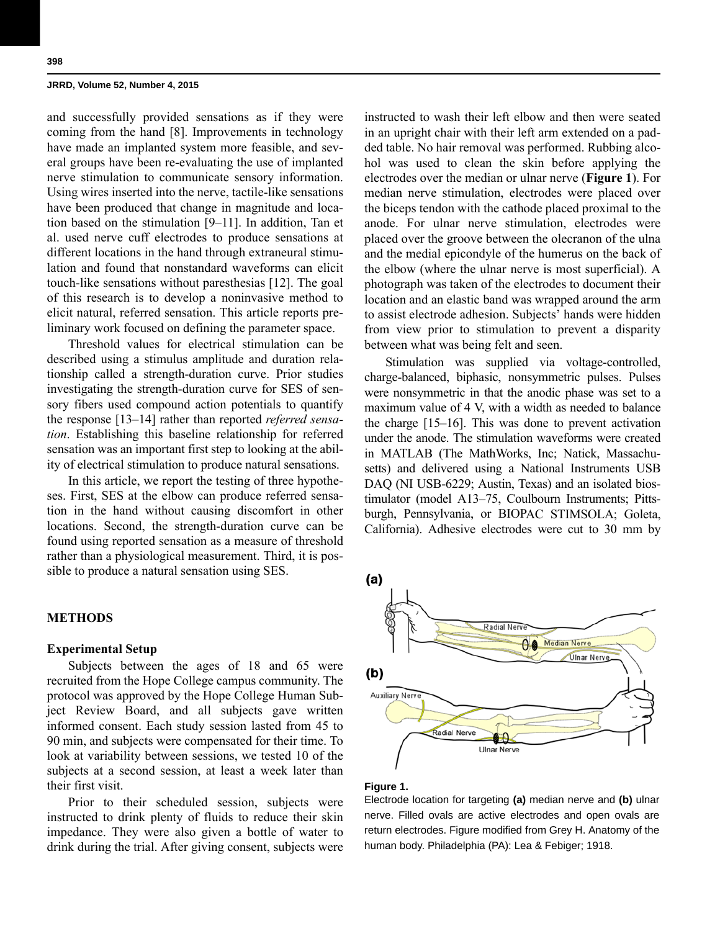and successfully provided sensations as if they were coming from the hand [8]. Improvements in technology have made an implanted system more feasible, and several groups have been re-evaluating the use of implanted nerve stimulation to communicate sensory information. Using wires inserted into the nerve, tactile-like sensations have been produced that change in magnitude and location based on the stimulation [9–11]. In addition, Tan et al. used nerve cuff electrodes to produce sensations at different locations in the hand through extraneural stimulation and found that nonstandard waveforms can elicit touch-like sensations without paresthesias [12]. The goal of this research is to develop a noninvasive method to elicit natural, referred sensation. This article reports preliminary work focused on defining the parameter space.

Threshold values for electrical stimulation can be described using a stimulus amplitude and duration relationship called a strength-duration curve. Prior studies investigating the strength-duration curve for SES of sensory fibers used compound action potentials to quantify the response [13–14] rather than reported *referred sensation*. Establishing this baseline relationship for referred sensation was an important first step to looking at the ability of electrical stimulation to produce natural sensations.

In this article, we report the testing of three hypotheses. First, SES at the elbow can produce referred sensation in the hand without causing discomfort in other locations. Second, the strength-duration curve can be found using reported sensation as a measure of threshold rather than a physiological measurement. Third, it is possible to produce a natural sensation using SES.

# **METHODS**

## **Experimental Setup**

Subjects between the ages of 18 and 65 were recruited from the Hope College campus community. The protocol was approved by the Hope College Human Subject Review Board, and all subjects gave written informed consent. Each study session lasted from 45 to 90 min, and subjects were compensated for their time. To look at variability between sessions, we tested 10 of the subjects at a second session, at least a week later than their first visit.

Prior to their scheduled session, subjects were instructed to drink plenty of fluids to reduce their skin impedance. They were also given a bottle of water to drink during the trial. After giving consent, subjects were instructed to wash their left elbow and then were seated in an upright chair with their left arm extended on a padded table. No hair removal was performed. Rubbing alcohol was used to clean the skin before applying the electrodes over the median or ulnar nerve (**Figure 1**). For median nerve stimulation, electrodes were placed over the biceps tendon with the cathode placed proximal to the anode. For ulnar nerve stimulation, electrodes were placed over the groove between the olecranon of the ulna and the medial epicondyle of the humerus on the back of the elbow (where the ulnar nerve is most superficial). A photograph was taken of the electrodes to document their location and an elastic band was wrapped around the arm to assist electrode adhesion. Subjects' hands were hidden from view prior to stimulation to prevent a disparity between what was being felt and seen.

Stimulation was supplied via voltage-controlled, charge-balanced, biphasic, nonsymmetric pulses. Pulses were nonsymmetric in that the anodic phase was set to a maximum value of 4 V, with a width as needed to balance the charge [15–16]. This was done to prevent activation under the anode. The stimulation waveforms were created in MATLAB (The MathWorks, Inc; Natick, Massachusetts) and delivered using a National Instruments USB DAQ (NI USB-6229; Austin, Texas) and an isolated biostimulator (model A13–75, Coulbourn Instruments; Pittsburgh, Pennsylvania, or BIOPAC STIMSOLA; Goleta, California). Adhesive electrodes were cut to 30 mm by



#### **Figure 1.**

Electrode location for targeting **(a)** median nerve and **(b)** ulnar nerve. Filled ovals are active electrodes and open ovals are return electrodes. Figure modified from Grey H. Anatomy of the human body. Philadelphia (PA): Lea & Febiger; 1918.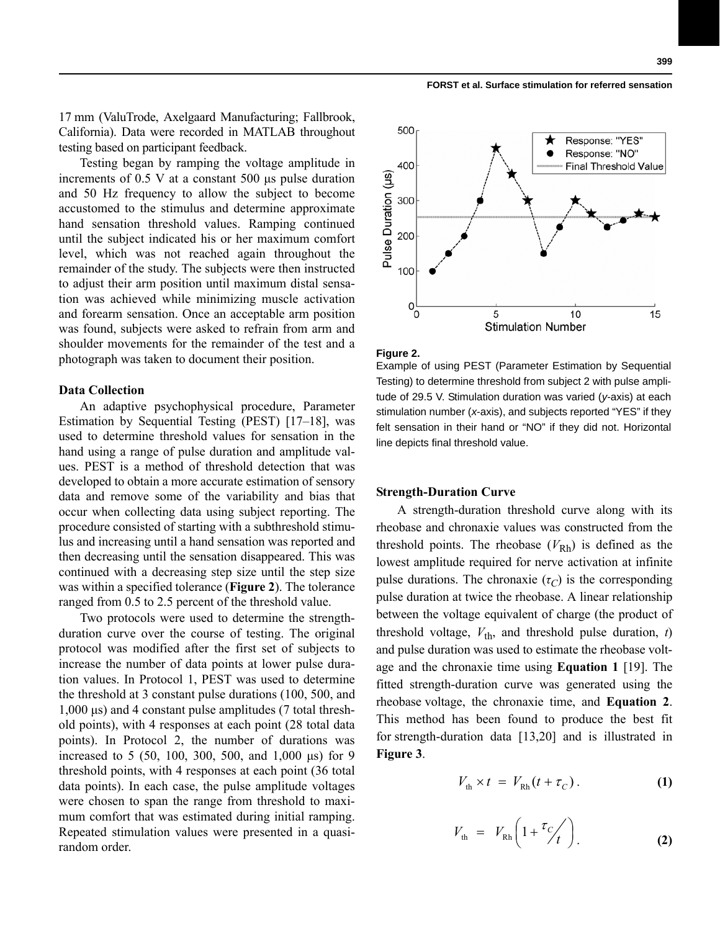17 mm (ValuTrode, Axelgaard Manufacturing; Fallbrook, California). Data were recorded in MATLAB throughout testing based on participant feedback.

Testing began by ramping the voltage amplitude in increments of 0.5 V at a constant 500 μs pulse duration and 50 Hz frequency to allow the subject to become accustomed to the stimulus and determine approximate hand sensation threshold values. Ramping continued until the subject indicated his or her maximum comfort level, which was not reached again throughout the remainder of the study. The subjects were then instructed to adjust their arm position until maximum distal sensation was achieved while minimizing muscle activation and forearm sensation. Once an acceptable arm position was found, subjects were asked to refrain from arm and shoulder movements for the remainder of the test and a photograph was taken to document their position.

#### **Data Collection**

An adaptive psychophysical procedure, Parameter Estimation by Sequential Testing (PEST) [17–18], was used to determine threshold values for sensation in the hand using a range of pulse duration and amplitude values. PEST is a method of threshold detection that was developed to obtain a more accurate estimation of sensory data and remove some of the variability and bias that occur when collecting data using subject reporting. The procedure consisted of starting with a subthreshold stimulus and increasing until a hand sensation was reported and then decreasing until the sensation disappeared. This was continued with a decreasing step size until the step size was within a specified tolerance (**Figure 2**). The tolerance ranged from 0.5 to 2.5 percent of the threshold value.

Two protocols were used to determine the strengthduration curve over the course of testing. The original protocol was modified after the first set of subjects to increase the number of data points at lower pulse duration values. In Protocol 1, PEST was used to determine the threshold at 3 constant pulse durations (100, 500, and 1,000 μs) and 4 constant pulse amplitudes (7 total threshold points), with 4 responses at each point (28 total data points). In Protocol 2, the number of durations was increased to 5 (50, 100, 300, 500, and 1,000 μs) for 9 threshold points, with 4 responses at each point (36 total data points). In each case, the pulse amplitude voltages were chosen to span the range from threshold to maximum comfort that was estimated during initial ramping. Repeated stimulation values were presented in a quasirandom order.



#### **Figure 2.**

Example of using PEST (Parameter Estimation by Sequential Testing) to determine threshold from subject 2 with pulse amplitude of 29.5 V. Stimulation duration was varied (*y*-axis) at each stimulation number (*x*-axis), and subjects reported "YES" if they felt sensation in their hand or "NO" if they did not. Horizontal line depicts final threshold value.

# **Strength-Duration Curve**

A strength-duration threshold curve along with its rheobase and chronaxie values was constructed from the threshold points. The rheobase  $(V_{\rm Rh})$  is defined as the lowest amplitude required for nerve activation at infinite pulse durations. The chronaxie  $(\tau_C)$  is the corresponding pulse duration at twice the rheobase. A linear relationship between the voltage equivalent of charge (the product of threshold voltage,  $V_{\text{th}}$ , and threshold pulse duration, *t*) and pulse duration was used to estimate the rheobase voltage and the chronaxie time using **Equation 1** [19]. The fitted strength-duration curve was generated using the rheobase voltage, the chronaxie time, and **Equation 2**. This method has been found to produce the best fit for strength-duration data [13,20] and is illustrated in **Figure 3**.

$$
V_{\text{th}} \times t = V_{\text{Rh}}(t + \tau_C). \tag{1}
$$

$$
V_{\text{th}} = V_{\text{Rh}} \left( 1 + \frac{\tau_c}{t} \right) \tag{2}
$$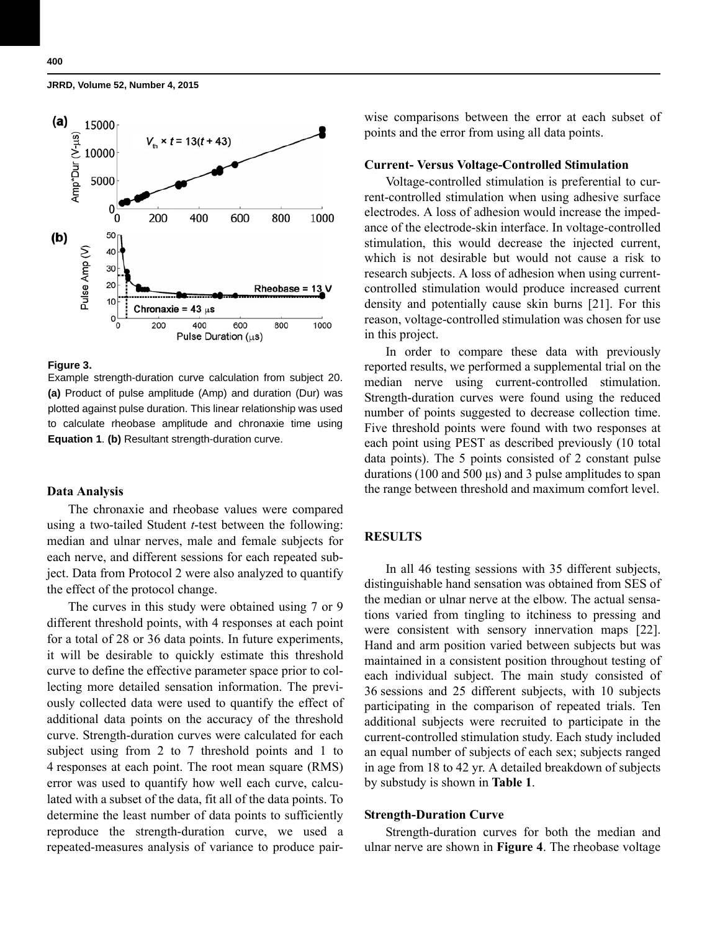

#### **Figure 3.**

Example strength-duration curve calculation from subject 20. **(a)** Product of pulse amplitude (Amp) and duration (Dur) was plotted against pulse duration. This linear relationship was used to calculate rheobase amplitude and chronaxie time using **Equation 1**. **(b)** Resultant strength-duration curve.

# **Data Analysis**

The chronaxie and rheobase values were compared using a two-tailed Student *t*-test between the following: median and ulnar nerves, male and female subjects for each nerve, and different sessions for each repeated subject. Data from Protocol 2 were also analyzed to quantify the effect of the protocol change.

The curves in this study were obtained using 7 or 9 different threshold points, with 4 responses at each point for a total of 28 or 36 data points. In future experiments, it will be desirable to quickly estimate this threshold curve to define the effective parameter space prior to collecting more detailed sensation information. The previously collected data were used to quantify the effect of additional data points on the accuracy of the threshold curve. Strength-duration curves were calculated for each subject using from 2 to 7 threshold points and 1 to 4 responses at each point. The root mean square (RMS) error was used to quantify how well each curve, calculated with a subset of the data, fit all of the data points. To determine the least number of data points to sufficiently reproduce the strength-duration curve, we used a repeated-measures analysis of variance to produce pairwise comparisons between the error at each subset of points and the error from using all data points.

# **Current- Versus Voltage-Controlled Stimulation**

Voltage-controlled stimulation is preferential to current-controlled stimulation when using adhesive surface electrodes. A loss of adhesion would increase the impedance of the electrode-skin interface. In voltage-controlled stimulation, this would decrease the injected current, which is not desirable but would not cause a risk to research subjects. A loss of adhesion when using currentcontrolled stimulation would produce increased current density and potentially cause skin burns [21]. For this reason, voltage-controlled stimulation was chosen for use in this project.

In order to compare these data with previously reported results, we performed a supplemental trial on the median nerve using current-controlled stimulation. Strength-duration curves were found using the reduced number of points suggested to decrease collection time. Five threshold points were found with two responses at each point using PEST as described previously (10 total data points). The 5 points consisted of 2 constant pulse durations (100 and 500 µs) and 3 pulse amplitudes to span the range between threshold and maximum comfort level.

# **RESULTS**

In all 46 testing sessions with 35 different subjects, distinguishable hand sensation was obtained from SES of the median or ulnar nerve at the elbow. The actual sensations varied from tingling to itchiness to pressing and were consistent with sensory innervation maps [22]. Hand and arm position varied between subjects but was maintained in a consistent position throughout testing of each individual subject. The main study consisted of 36 sessions and 25 different subjects, with 10 subjects participating in the comparison of repeated trials. Ten additional subjects were recruited to participate in the current-controlled stimulation study. Each study included an equal number of subjects of each sex; subjects ranged in age from 18 to 42 yr. A detailed breakdown of subjects by substudy is shown in **Table 1**.

# **Strength-Duration Curve**

Strength-duration curves for both the median and ulnar nerve are shown in **Figure 4**. The rheobase voltage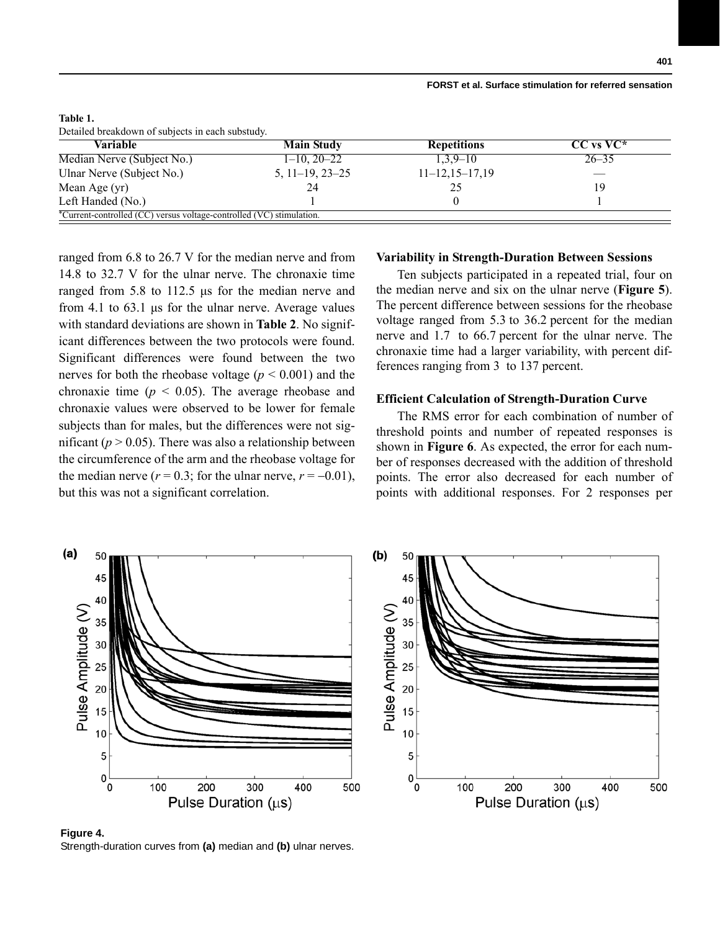| Variable                   | <b>Main Study</b> | <b>Repetitions</b> | $CC$ vs $VC^*$ |
|----------------------------|-------------------|--------------------|----------------|
| Median Nerve (Subject No.) | $1-10, 20-22$     | $1,3,9-10$         | $26 - 35$      |
| Ulnar Nerve (Subject No.)  | $5, 11-19, 23-25$ | $11-12, 15-17, 19$ |                |
| Mean Age (yr)              | 24                | 25                 | 19             |
| Left Handed (No.)          |                   |                    |                |

**Table 1.**

ranged from 6.8 to 26.7 V for the median nerve and from 14.8 to 32.7 V for the ulnar nerve. The chronaxie time ranged from 5.8 to 112.5 μs for the median nerve and from 4.1 to 63.1 μs for the ulnar nerve. Average values with standard deviations are shown in **Table 2**. No significant differences between the two protocols were found. Significant differences were found between the two nerves for both the rheobase voltage ( $p < 0.001$ ) and the chronaxie time ( $p < 0.05$ ). The average rheobase and chronaxie values were observed to be lower for female subjects than for males, but the differences were not significant  $(p > 0.05)$ . There was also a relationship between the circumference of the arm and the rheobase voltage for the median nerve ( $r = 0.3$ ; for the ulnar nerve,  $r = -0.01$ ), but this was not a significant correlation.

#### **Variability in Strength-Duration Between Sessions**

Ten subjects participated in a repeated trial, four on the median nerve and six on the ulnar nerve (**Figure 5**). The percent difference between sessions for the rheobase voltage ranged from 5.3 to 36.2 percent for the median nerve and 1.7 to 66.7 percent for the ulnar nerve. The chronaxie time had a larger variability, with percent differences ranging from 3 to 137 percent.

# **Efficient Calculation of Strength-Duration Curve**

The RMS error for each combination of number of threshold points and number of repeated responses is shown in **Figure 6**. As expected, the error for each number of responses decreased with the addition of threshold points. The error also decreased for each number of points with additional responses. For 2 responses per



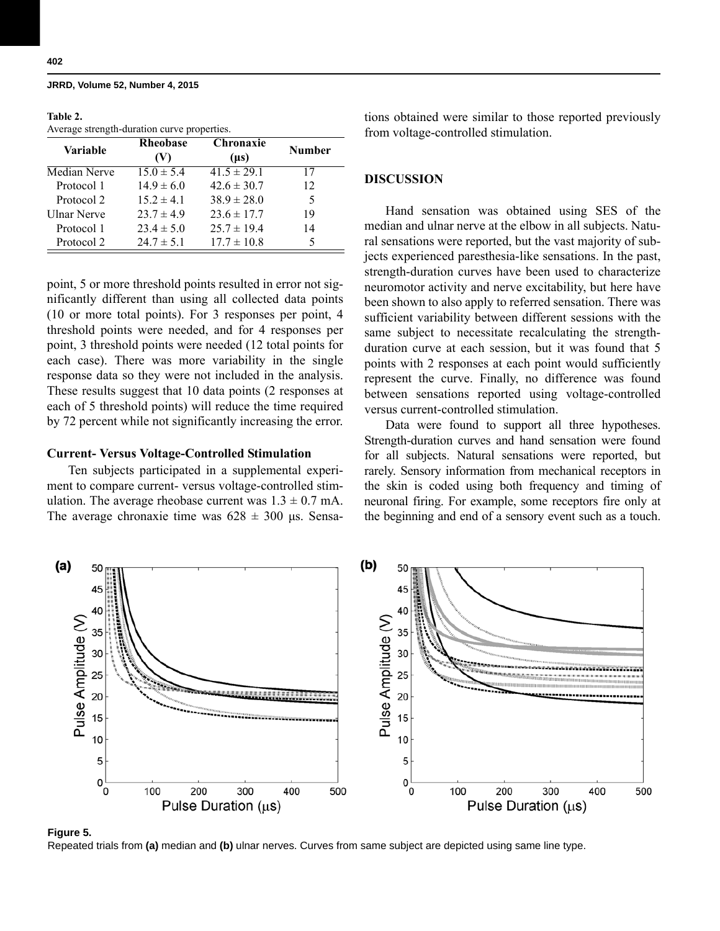# **Table 2.**

Average strength-duration curve properties.

| Variable     | <b>Rheobase</b><br>(V) | <b>Chronaxie</b><br>$(\mu s)$ | <b>Number</b> |
|--------------|------------------------|-------------------------------|---------------|
| Median Nerve | $15.0 \pm 5.4$         | $41.5 \pm 29.1$               | 17            |
| Protocol 1   | $14.9 \pm 6.0$         | $42.6 \pm 30.7$               | 12            |
| Protocol 2   | $15.2 \pm 4.1$         | $38.9 \pm 28.0$               | 5             |
| Ulnar Nerve  | $23.7 \pm 4.9$         | $23.6 \pm 17.7$               | 19            |
| Protocol 1   | $23.4 \pm 5.0$         | $25.7 \pm 19.4$               | 14            |
| Protocol 2   | $24.7 \pm 5.1$         | $17.7 \pm 10.8$               |               |

point, 5 or more threshold points resulted in error not significantly different than using all collected data points (10 or more total points). For 3 responses per point, 4 threshold points were needed, and for 4 responses per point, 3 threshold points were needed (12 total points for each case). There was more variability in the single response data so they were not included in the analysis. These results suggest that 10 data points (2 responses at each of 5 threshold points) will reduce the time required by 72 percent while not significantly increasing the error.

# **Current- Versus Voltage-Controlled Stimulation**

Ten subjects participated in a supplemental experiment to compare current- versus voltage-controlled stimulation. The average rheobase current was  $1.3 \pm 0.7$  mA. The average chronaxie time was  $628 \pm 300$  μs. Sensations obtained were similar to those reported previously from voltage-controlled stimulation.

# **DISCUSSION**

Hand sensation was obtained using SES of the median and ulnar nerve at the elbow in all subjects. Natural sensations were reported, but the vast majority of subjects experienced paresthesia-like sensations. In the past, strength-duration curves have been used to characterize neuromotor activity and nerve excitability, but here have been shown to also apply to referred sensation. There was sufficient variability between different sessions with the same subject to necessitate recalculating the strengthduration curve at each session, but it was found that 5 points with 2 responses at each point would sufficiently represent the curve. Finally, no difference was found between sensations reported using voltage-controlled versus current-controlled stimulation.

Data were found to support all three hypotheses. Strength-duration curves and hand sensation were found for all subjects. Natural sensations were reported, but rarely. Sensory information from mechanical receptors in the skin is coded using both frequency and timing of neuronal firing. For example, some receptors fire only at the beginning and end of a sensory event such as a touch.



#### **Figure 5.**

Repeated trials from **(a)** median and **(b)** ulnar nerves. Curves from same subject are depicted using same line type.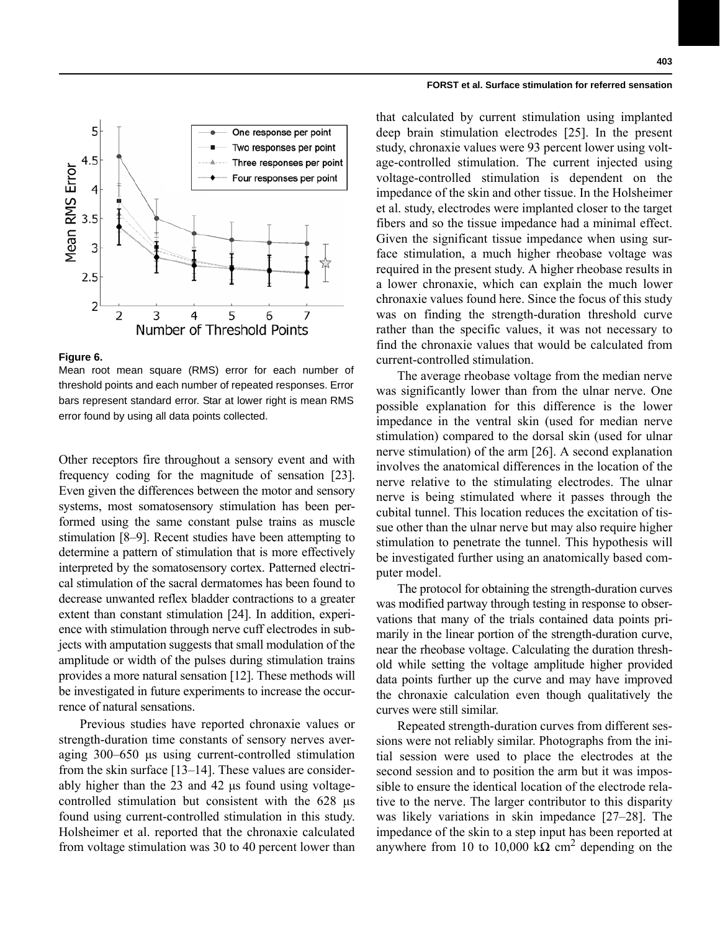

#### **Figure 6.**

Mean root mean square (RMS) error for each number of threshold points and each number of repeated responses. Error bars represent standard error. Star at lower right is mean RMS error found by using all data points collected.

Other receptors fire throughout a sensory event and with frequency coding for the magnitude of sensation [23]. Even given the differences between the motor and sensory systems, most somatosensory stimulation has been performed using the same constant pulse trains as muscle stimulation [8–9]. Recent studies have been attempting to determine a pattern of stimulation that is more effectively interpreted by the somatosensory cortex. Patterned electrical stimulation of the sacral dermatomes has been found to decrease unwanted reflex bladder contractions to a greater extent than constant stimulation [24]. In addition, experience with stimulation through nerve cuff electrodes in subjects with amputation suggests that small modulation of the amplitude or width of the pulses during stimulation trains provides a more natural sensation [12]. These methods will be investigated in future experiments to increase the occurrence of natural sensations.

Previous studies have reported chronaxie values or strength-duration time constants of sensory nerves averaging 300–650 μs using current-controlled stimulation from the skin surface [13–14]. These values are considerably higher than the 23 and 42 μs found using voltagecontrolled stimulation but consistent with the 628 μs found using current-controlled stimulation in this study. Holsheimer et al. reported that the chronaxie calculated from voltage stimulation was 30 to 40 percent lower than that calculated by current stimulation using implanted deep brain stimulation electrodes [25]. In the present study, chronaxie values were 93 percent lower using voltage-controlled stimulation. The current injected using voltage-controlled stimulation is dependent on the impedance of the skin and other tissue. In the Holsheimer et al. study, electrodes were implanted closer to the target fibers and so the tissue impedance had a minimal effect. Given the significant tissue impedance when using surface stimulation, a much higher rheobase voltage was required in the present study. A higher rheobase results in a lower chronaxie, which can explain the much lower chronaxie values found here. Since the focus of this study was on finding the strength-duration threshold curve rather than the specific values, it was not necessary to find the chronaxie values that would be calculated from current-controlled stimulation.

The average rheobase voltage from the median nerve was significantly lower than from the ulnar nerve. One possible explanation for this difference is the lower impedance in the ventral skin (used for median nerve stimulation) compared to the dorsal skin (used for ulnar nerve stimulation) of the arm [26]. A second explanation involves the anatomical differences in the location of the nerve relative to the stimulating electrodes. The ulnar nerve is being stimulated where it passes through the cubital tunnel. This location reduces the excitation of tissue other than the ulnar nerve but may also require higher stimulation to penetrate the tunnel. This hypothesis will be investigated further using an anatomically based computer model.

The protocol for obtaining the strength-duration curves was modified partway through testing in response to observations that many of the trials contained data points primarily in the linear portion of the strength-duration curve, near the rheobase voltage. Calculating the duration threshold while setting the voltage amplitude higher provided data points further up the curve and may have improved the chronaxie calculation even though qualitatively the curves were still similar.

Repeated strength-duration curves from different sessions were not reliably similar. Photographs from the initial session were used to place the electrodes at the second session and to position the arm but it was impossible to ensure the identical location of the electrode relative to the nerve. The larger contributor to this disparity was likely variations in skin impedance [27–28]. The impedance of the skin to a step input has been reported at anywhere from 10 to 10,000 kΩ cm<sup>2</sup> depending on the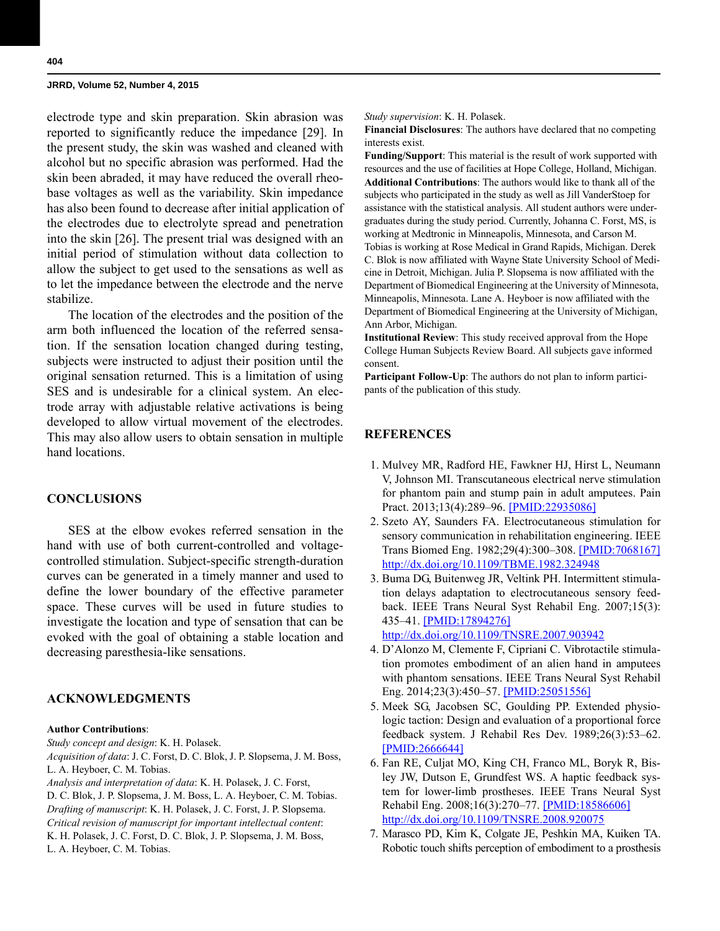electrode type and skin preparation. Skin abrasion was reported to significantly reduce the impedance [29]. In the present study, the skin was washed and cleaned with alcohol but no specific abrasion was performed. Had the skin been abraded, it may have reduced the overall rheobase voltages as well as the variability. Skin impedance has also been found to decrease after initial application of the electrodes due to electrolyte spread and penetration into the skin [26]. The present trial was designed with an initial period of stimulation without data collection to allow the subject to get used to the sensations as well as to let the impedance between the electrode and the nerve stabilize.

The location of the electrodes and the position of the arm both influenced the location of the referred sensation. If the sensation location changed during testing, subjects were instructed to adjust their position until the original sensation returned. This is a limitation of using SES and is undesirable for a clinical system. An electrode array with adjustable relative activations is being developed to allow virtual movement of the electrodes. This may also allow users to obtain sensation in multiple hand locations.

# **CONCLUSIONS**

SES at the elbow evokes referred sensation in the hand with use of both current-controlled and voltagecontrolled stimulation. Subject-specific strength-duration curves can be generated in a timely manner and used to define the lower boundary of the effective parameter space. These curves will be used in future studies to investigate the location and type of sensation that can be evoked with the goal of obtaining a stable location and decreasing paresthesia-like sensations.

# **ACKNOWLEDGMENTS**

#### **Author Contributions**:

*Study concept and design*: K. H. Polasek.

*Acquisition of data*: J. C. Forst, D. C. Blok, J. P. Slopsema, J. M. Boss, L. A. Heyboer, C. M. Tobias.

*Analysis and interpretation of data*: K. H. Polasek, J. C. Forst,

D. C. Blok, J. P. Slopsema, J. M. Boss, L. A. Heyboer, C. M. Tobias. *Drafting of manuscript*: K. H. Polasek, J. C. Forst, J. P. Slopsema. *Critical revision of manuscript for important intellectual content*: K. H. Polasek, J. C. Forst, D. C. Blok, J. P. Slopsema, J. M. Boss, L. A. Heyboer, C. M. Tobias.

*Study supervision*: K. H. Polasek.

**Financial Disclosures**: The authors have declared that no competing interests exist.

**Funding/Support**: This material is the result of work supported with resources and the use of facilities at Hope College, Holland, Michigan. **Additional Contributions**: The authors would like to thank all of the subjects who participated in the study as well as Jill VanderStoep for assistance with the statistical analysis. All student authors were undergraduates during the study period. Currently, Johanna C. Forst, MS, is working at Medtronic in Minneapolis, Minnesota, and Carson M. Tobias is working at Rose Medical in Grand Rapids, Michigan. Derek C. Blok is now affiliated with Wayne State University School of Medicine in Detroit, Michigan. Julia P. Slopsema is now affiliated with the Department of Biomedical Engineering at the University of Minnesota, Minneapolis, Minnesota. Lane A. Heyboer is now affiliated with the Department of Biomedical Engineering at the University of Michigan, Ann Arbor, Michigan.

**Institutional Review**: This study received approval from the Hope College Human Subjects Review Board. All subjects gave informed consent.

**Participant Follow-Up**: The authors do not plan to inform participants of the publication of this study.

# **REFERENCES**

- 1. Mulvey MR, Radford HE, Fawkner HJ, Hirst L, Neumann V, Johnson MI. Transcutaneous electrical nerve stimulation for phantom pain and stump pain in adult amputees. Pain Pract. 2013;13(4):289–96. [\[PMID:22935086\]](http://www.ncbi.nlm.nih.gov/entrez/query.fcgi?cmd=Retrieve&db=PubMed&list_uids=22935086&dopt=Abstract)
- 2. Szeto AY, Saunders FA. Electrocutaneous stimulation for sensory communication in rehabilitation engineering. IEEE Trans Biomed Eng. 1982;29(4):300–308. [\[PMID:7068167\]](http://www.ncbi.nlm.nih.gov/entrez/query.fcgi?cmd=Retrieve&db=PubMed&list_uids=7068167&dopt=Abstract) [h](http://www.ncbi.nlm.nih.gov/entrez/query.fcgi?cmd=Retrieve&db=PubMed&list_uids=7068167&dopt=Abstract)[ttp://dx.doi.org/10.1109/TBME.1982.324948](http://dx.doi.org/10.1109/TBME.1982.324948)
- 3. Buma DG, Buitenweg JR, Veltink PH. Intermittent stimulation delays adaptation to electrocutaneous sensory feedback. IEEE Trans Neural Syst Rehabil Eng. 2007;15(3): 435–41. [\[PMID:17894276\]](http://www.ncbi.nlm.nih.gov/entrez/query.fcgi?cmd=Retrieve&db=PubMed&list_uids=17894276&dopt=Abstract)

[h](http://www.ncbi.nlm.nih.gov/entrez/query.fcgi?cmd=Retrieve&db=PubMed&list_uids=17894276&dopt=Abstract)[ttp://dx.doi.org/10.1109/TNSRE.2007.903942](http://dx.doi.org/10.1109/TNSRE.2007.903942)

- 4. D'Alonzo M, Clemente F, Cipriani C. Vibrotactile stimulation promotes embodiment of an alien hand in amputees with phantom sensations. IEEE Trans Neural Syst Rehabil Eng. 2014;23(3):450–57. [\[PMID:25051556\]](http://www.ncbi.nlm.nih.gov/entrez/query.fcgi?cmd=Retrieve&db=PubMed&list_uids=25051556&dopt=Abstract)
- 5. Meek SG, Jacobsen SC, Goulding PP. Extended physiologic taction: Design and evaluation of a proportional force feedback system. J Rehabil Res Dev. 1989;26(3):53–62. [\[PMID:2666644\]](http://www.ncbi.nlm.nih.gov/entrez/query.fcgi?cmd=Retrieve&db=PubMed&list_uids=2666644&dopt=Abstract)
- 6. Fan RE, Culjat MO, King CH, Franco ML, Boryk R, Bisley JW, Dutson E, Grundfest WS. A haptic feedback system for lower-limb prostheses. IEEE Trans Neural Syst Rehabil Eng. 2008;16(3):270–77. [\[PMID:18586606\]](http://www.ncbi.nlm.nih.gov/entrez/query.fcgi?cmd=Retrieve&db=PubMed&list_uids=18586606&dopt=Abstract) [h](http://www.ncbi.nlm.nih.gov/entrez/query.fcgi?cmd=Retrieve&db=PubMed&list_uids=18586606&dopt=Abstract)[ttp://dx.doi.org/10.1109/TNSRE.2008.920075](http://dx.doi.org/10.1109/TNSRE.2008.920075)
- 7. Marasco PD, Kim K, Colgate JE, Peshkin MA, Kuiken TA. Robotic touch shifts perception of embodiment to a prosthesis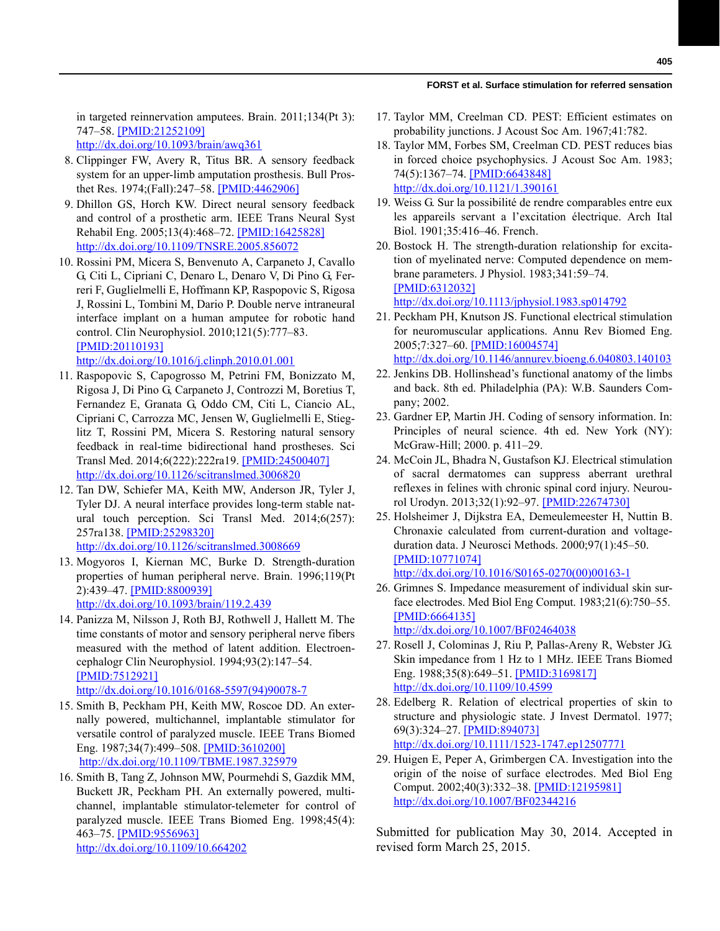in targeted reinnervation amputees. Brain. 2011;134(Pt 3): 747–58. [\[PMID:21252109\]](http://www.ncbi.nlm.nih.gov/entrez/query.fcgi?cmd=Retrieve&db=PubMed&list_uids=21252109&dopt=Abstract) [h](http://www.ncbi.nlm.nih.gov/entrez/query.fcgi?cmd=Retrieve&db=PubMed&list_uids=21252109&dopt=Abstract)[ttp://dx.doi.org/10.1093/brain/awq361](http://dx.doi.org/10.1093/brain/awq361)

 8. Clippinger FW, Avery R, Titus BR. A sensory feedback system for an upper-limb amputation prosthesis. Bull Prosthet Res. 1974;(Fall):247–58. [\[PMID:4462906\]](http://www.ncbi.nlm.nih.gov/entrez/query.fcgi?cmd=Retrieve&db=PubMed&list_uids=4462906&dopt=Abstract)

- 9. Dhillon GS, Horch KW. Direct neural sensory feedback and control of a prosthetic arm. IEEE Trans Neural Syst Rehabil Eng. 2005;13(4):468–72. [\[PMID:16425828\]](http://www.ncbi.nlm.nih.gov/entrez/query.fcgi?cmd=Retrieve&db=PubMed&list_uids=16425828&dopt=Abstract) [h](http://www.ncbi.nlm.nih.gov/entrez/query.fcgi?cmd=Retrieve&db=PubMed&list_uids=16425828&dopt=Abstract)[ttp://dx.doi.org/10.1109/TNSRE.2005.856072](http://dx.doi.org/10.1109/TNSRE.2005.856072)
- 10. Rossini PM, Micera S, Benvenuto A, Carpaneto J, Cavallo G, Citi L, Cipriani C, Denaro L, Denaro V, Di Pino G, Ferreri F, Guglielmelli E, Hoffmann KP, Raspopovic S, Rigosa J, Rossini L, Tombini M, Dario P. Double nerve intraneural interface implant on a human amputee for robotic hand control. Clin Neurophysiol. 2010;121(5):777–83. [\[PMID:20110193\]](http://www.ncbi.nlm.nih.gov/entrez/query.fcgi?cmd=Retrieve&db=PubMed&list_uids=20110193&dopt=Abstract)

[h](http://www.ncbi.nlm.nih.gov/entrez/query.fcgi?cmd=Retrieve&db=PubMed&list_uids=20110193&dopt=Abstract)[ttp://dx.doi.org/10.1016/j.clinph.2010.01.001](http://dx.doi.org/10.1016/j.clinph.2010.01.001)

- 11. Raspopovic S, Capogrosso M, Petrini FM, Bonizzato M, Rigosa J, Di Pino G, Carpaneto J, Controzzi M, Boretius T, Fernandez E, Granata G, Oddo CM, Citi L, Ciancio AL, Cipriani C, Carrozza MC, Jensen W, Guglielmelli E, Stieglitz T, Rossini PM, Micera S. Restoring natural sensory feedback in real-time bidirectional hand prostheses. Sci Transl Med. 2014;6(222):222ra19. [\[PMID:24500407\]](http://www.ncbi.nlm.nih.gov/entrez/query.fcgi?cmd=Retrieve&db=PubMed&list_uids=24500407&dopt=Abstract) [h](http://www.ncbi.nlm.nih.gov/entrez/query.fcgi?cmd=Retrieve&db=PubMed&list_uids=24500407&dopt=Abstract)[ttp://dx.doi.org/10.1126/scitranslmed.3006820](http://dx.doi.org/10.1126/scitranslmed.3006820)
- 12. Tan DW, Schiefer MA, Keith MW, Anderson JR, Tyler J, Tyler DJ. A neural interface provides long-term stable natural touch perception. Sci Transl Med. 2014;6(257): 257ra138. [\[PMID:25298320\]](http://www.ncbi.nlm.nih.gov/entrez/query.fcgi?cmd=Retrieve&db=PubMed&list_uids=25298320&dopt=Abstract) [h](http://www.ncbi.nlm.nih.gov/entrez/query.fcgi?cmd=Retrieve&db=PubMed&list_uids=25298320&dopt=Abstract)[ttp://dx.doi.org/10.1126/scitranslmed.3008669](http://dx.doi.org/10.1126/scitranslmed.3008669)
- 13. Mogyoros I, Kiernan MC, Burke D. Strength-duration properties of human peripheral nerve. Brain. 1996;119(Pt 2):439–47. [\[PMID:8800939\]](http://www.ncbi.nlm.nih.gov/entrez/query.fcgi?cmd=Retrieve&db=PubMed&list_uids=8800939&dopt=Abstract) [h](http://www.ncbi.nlm.nih.gov/entrez/query.fcgi?cmd=Retrieve&db=PubMed&list_uids=8800939&dopt=Abstract)[ttp://dx.doi.org/10.1093/brain/119.2.439](http://dx.doi.org/10.1093/brain/119.2.439)
- 14. Panizza M, Nilsson J, Roth BJ, Rothwell J, Hallett M. The time constants of motor and sensory peripheral nerve fibers measured with the method of latent addition. Electroencephalogr Clin Neurophysiol. 1994;93(2):147–54. [\[PMID:7512921\]](http://www.ncbi.nlm.nih.gov/entrez/query.fcgi?cmd=Retrieve&db=PubMed&list_uids=7512921&dopt=Abstract) [h](http://www.ncbi.nlm.nih.gov/entrez/query.fcgi?cmd=Retrieve&db=PubMed&list_uids=7512921&dopt=Abstract)[ttp://dx.doi.org/10.1016/0168-5597\(94\)90078-7](http://dx.doi.org/10.1016/0168-5597(94)90078-7)
- 15. Smith B, Peckham PH, Keith MW, Roscoe DD. An externally powered, multichannel, implantable stimulator for versatile control of paralyzed muscle. IEEE Trans Biomed Eng. 1987;34(7):499–508. [\[PMID:3610200\]](http://www.ncbi.nlm.nih.gov/entrez/query.fcgi?cmd=Retrieve&db=PubMed&list_uids=3610200&dopt=Abstract) <http://dx.doi.org/10.1109/TBME.1987.325979>
- 16. Smith B, Tang Z, Johnson MW, Pourmehdi S, Gazdik MM, Buckett JR, Peckham PH. An externally powered, multichannel, implantable stimulator-telemeter for control of paralyzed muscle. IEEE Trans Biomed Eng. 1998;45(4): 463–75. [\[PMID:9556963\]](http://www.ncbi.nlm.nih.gov/entrez/query.fcgi?cmd=Retrieve&db=PubMed&list_uids=9556963&dopt=Abstract) [h](http://www.ncbi.nlm.nih.gov/entrez/query.fcgi?cmd=Retrieve&db=PubMed&list_uids=9556963&dopt=Abstract)[ttp://dx.doi.org/10.1109/10.664202](http://dx.doi.org/10.1109/10.664202)
- 17. Taylor MM, Creelman CD. PEST: Efficient estimates on probability junctions. J Acoust Soc Am. 1967;41:782.
- 18. Taylor MM, Forbes SM, Creelman CD. PEST reduces bias in forced choice psychophysics. J Acoust Soc Am. 1983; 74(5):1367–74. [\[PMID:6643848\]](http://www.ncbi.nlm.nih.gov/entrez/query.fcgi?cmd=Retrieve&db=PubMed&list_uids=6643848&dopt=Abstract) [h](http://www.ncbi.nlm.nih.gov/entrez/query.fcgi?cmd=Retrieve&db=PubMed&list_uids=6643848&dopt=Abstract)[ttp://dx.doi.org/10.1121/1.390161](http://dx.doi.org/10.1121/1.390161)
- 19. Weiss G. Sur la possibilité de rendre comparables entre eux les appareils servant a l'excitation électrique. Arch Ital Biol. 1901;35:416–46. French.
- 20. Bostock H. The strength-duration relationship for excitation of myelinated nerve: Computed dependence on membrane parameters. J Physiol. 1983;341:59–74. [\[PMID:6312032\]](http://www.ncbi.nlm.nih.gov/entrez/query.fcgi?cmd=Retrieve&db=PubMed&list_uids=6312032&dopt=Abstract) [h](http://www.ncbi.nlm.nih.gov/entrez/query.fcgi?cmd=Retrieve&db=PubMed&list_uids=6312032&dopt=Abstract)[ttp://dx.doi.org/10.1113/jphysiol.1983.sp014792](http://dx.doi.org/10.1113/jphysiol.1983.sp014792)
- 21. Peckham PH, Knutson JS. Functional electrical stimulation for neuromuscular applications. Annu Rev Biomed Eng. 2005;7:327–60. [\[PMID:16004574\]](http://www.ncbi.nlm.nih.gov/entrez/query.fcgi?cmd=Retrieve&db=PubMed&list_uids=16004574&dopt=Abstract) [h](http://www.ncbi.nlm.nih.gov/entrez/query.fcgi?cmd=Retrieve&db=PubMed&list_uids=16004574&dopt=Abstract)[ttp://dx.doi.org/10.1146/annurev.bioeng.6.040803.140103](http://dx.doi.org/10.1146/annurev.bioeng.6.040803.140103)

22. Jenkins DB. Hollinshead's functional anatomy of the limbs and back. 8th ed. Philadelphia (PA): W.B. Saunders Company; 2002.

- 23. Gardner EP, Martin JH. Coding of sensory information. In: Principles of neural science. 4th ed. New York (NY): McGraw-Hill; 2000. p. 411–29.
- 24. McCoin JL, Bhadra N, Gustafson KJ. Electrical stimulation of sacral dermatomes can suppress aberrant urethral reflexes in felines with chronic spinal cord injury. Neurourol Urodyn. 2013;32(1):92–97. [\[PMID:22674730\]](http://www.ncbi.nlm.nih.gov/entrez/query.fcgi?cmd=Retrieve&db=PubMed&list_uids=22674730&dopt=Abstract)
- 25. Holsheimer J, Dijkstra EA, Demeulemeester H, Nuttin B. Chronaxie calculated from current-duration and voltageduration data. J Neurosci Methods. 2000;97(1):45–50. [\[PMID:10771074\]](http://www.ncbi.nlm.nih.gov/entrez/query.fcgi?cmd=Retrieve&db=PubMed&list_uids=10771074&dopt=Abstract) [h](http://www.ncbi.nlm.nih.gov/entrez/query.fcgi?cmd=Retrieve&db=PubMed&list_uids=10771074&dopt=Abstract)[ttp://dx.doi.org/10.1016/S0165-0270\(00\)00163-1](http://dx.doi.org/10.1016/S0165-0270(00)00163-1)
- 26. Grimnes S. Impedance measurement of individual skin surface electrodes. Med Biol Eng Comput. 1983;21(6):750–55. [\[PMID:6664135\]](http://www.ncbi.nlm.nih.gov/entrez/query.fcgi?cmd=Retrieve&db=PubMed&list_uids=6664135&dopt=Abstract) [h](http://www.ncbi.nlm.nih.gov/entrez/query.fcgi?cmd=Retrieve&db=PubMed&list_uids=6664135&dopt=Abstract)[ttp://dx.doi.org/10.1007/BF02464038](http://dx.doi.org/10.1007/BF02464038)
- 27. Rosell J, Colominas J, Riu P, Pallas-Areny R, Webster JG. Skin impedance from 1 Hz to 1 MHz. IEEE Trans Biomed Eng. 1988;35(8):649–51. [\[PMID:3169817\]](http://www.ncbi.nlm.nih.gov/entrez/query.fcgi?cmd=Retrieve&db=PubMed&list_uids=3169817&dopt=Abstract) [h](http://www.ncbi.nlm.nih.gov/entrez/query.fcgi?cmd=Retrieve&db=PubMed&list_uids=3169817&dopt=Abstract)[ttp://dx.doi.org/10.1109/10.4599](http://dx.doi.org/10.1109/10.4599)
- 28. Edelberg R. Relation of electrical properties of skin to structure and physiologic state. J Invest Dermatol. 1977; 69(3):324–27. [\[PMID:894073\]](http://www.ncbi.nlm.nih.gov/entrez/query.fcgi?cmd=Retrieve&db=PubMed&list_uids=894073&dopt=Abstract) [h](http://www.ncbi.nlm.nih.gov/entrez/query.fcgi?cmd=Retrieve&db=PubMed&list_uids=894073&dopt=Abstract)[ttp://dx.doi.org/10.1111/1523-1747.ep12507771](http://dx.doi.org/10.1111/1523-1747.ep12507771)
- 29. Huigen E, Peper A, Grimbergen CA. Investigation into the origin of the noise of surface electrodes. Med Biol Eng Comput. 2002;40(3):332–38. [\[PMID:12195981\]](http://www.ncbi.nlm.nih.gov/entrez/query.fcgi?cmd=Retrieve&db=PubMed&list_uids=12195981&dopt=Abstract) [h](http://www.ncbi.nlm.nih.gov/entrez/query.fcgi?cmd=Retrieve&db=PubMed&list_uids=12195981&dopt=Abstract)[ttp://dx.doi.org/10.1007/BF02344216](http://dx.doi.org/10.1007/BF02344216)

Submitted for publication May 30, 2014. Accepted in revised form March 25, 2015.